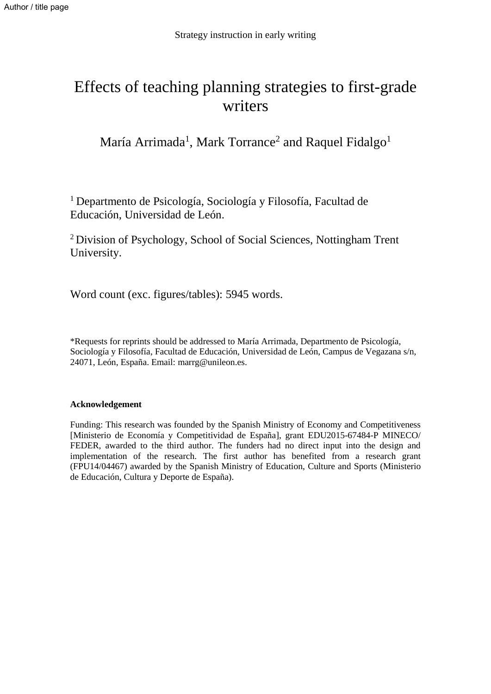# Effects of teaching planning strategies to first-grade writers

María Arrimada<sup>1</sup>, Mark Torrance<sup>2</sup> and Raquel Fidalgo<sup>1</sup>

<sup>1</sup> Departmento de Psicología, Sociología y Filosofía, Facultad de Educación, Universidad de León.

<sup>2</sup>Division of Psychology, School of Social Sciences, Nottingham Trent University.

Word count (exc. figures/tables): 5945 words.

\*Requests for reprints should be addressed to María Arrimada, Departmento de Psicología, Sociología y Filosofía, Facultad de Educación, Universidad de León, Campus de Vegazana s/n, 24071, León, España. Email: [marrg@unileon.es.](mailto:marrg@unileon.es)

#### **Acknowledgement**

Funding: This research was founded by the Spanish Ministry of Economy and Competitiveness [Ministerio de Economía y Competitividad de España], grant EDU2015-67484-P MINECO/ FEDER, awarded to the third author. The funders had no direct input into the design and implementation of the research. The first author has benefited from a research grant (FPU14/04467) awarded by the Spanish Ministry of Education, Culture and Sports (Ministerio de Educación, Cultura y Deporte de España).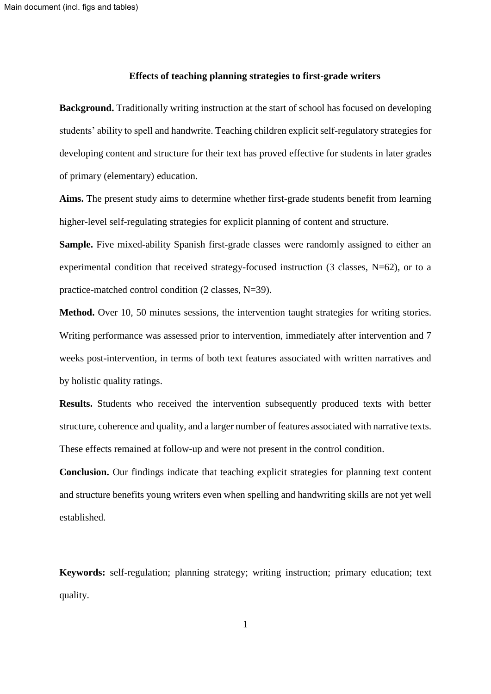#### **Effects of teaching planning strategies to first-grade writers**

**Background.** Traditionally writing instruction at the start of school has focused on developing students' ability to spell and handwrite. Teaching children explicit self-regulatory strategies for developing content and structure for their text has proved effective for students in later grades of primary (elementary) education.

**Aims.** The present study aims to determine whether first-grade students benefit from learning higher-level self-regulating strategies for explicit planning of content and structure.

**Sample.** Five mixed-ability Spanish first-grade classes were randomly assigned to either an experimental condition that received strategy-focused instruction (3 classes, N=62), or to a practice-matched control condition (2 classes, N=39).

**Method.** Over 10, 50 minutes sessions, the intervention taught strategies for writing stories. Writing performance was assessed prior to intervention, immediately after intervention and 7 weeks post-intervention, in terms of both text features associated with written narratives and by holistic quality ratings.

**Results.** Students who received the intervention subsequently produced texts with better structure, coherence and quality, and a larger number of features associated with narrative texts. These effects remained at follow-up and were not present in the control condition.

**Conclusion.** Our findings indicate that teaching explicit strategies for planning text content and structure benefits young writers even when spelling and handwriting skills are not yet well established.

**Keywords:** self-regulation; planning strategy; writing instruction; primary education; text quality.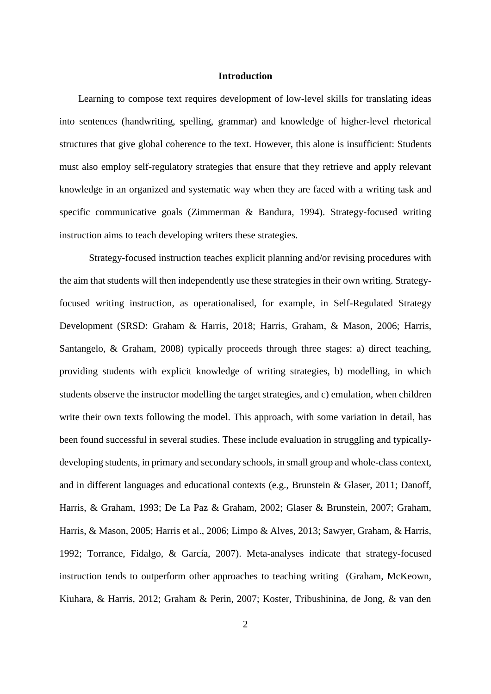#### **Introduction**

Learning to compose text requires development of low-level skills for translating ideas into sentences (handwriting, spelling, grammar) and knowledge of higher-level rhetorical structures that give global coherence to the text. However, this alone is insufficient: Students must also employ self-regulatory strategies that ensure that they retrieve and apply relevant knowledge in an organized and systematic way when they are faced with a writing task and specific communicative goals (Zimmerman & Bandura, 1994). Strategy-focused writing instruction aims to teach developing writers these strategies.

Strategy-focused instruction teaches explicit planning and/or revising procedures with the aim that students will then independently use these strategies in their own writing. Strategyfocused writing instruction, as operationalised, for example, in Self-Regulated Strategy Development (SRSD: Graham & Harris, 2018; Harris, Graham, & Mason, 2006; Harris, Santangelo, & Graham, 2008) typically proceeds through three stages: a) direct teaching, providing students with explicit knowledge of writing strategies, b) modelling, in which students observe the instructor modelling the target strategies, and c) emulation, when children write their own texts following the model. This approach, with some variation in detail, has been found successful in several studies. These include evaluation in struggling and typicallydeveloping students, in primary and secondary schools, in small group and whole-class context, and in different languages and educational contexts (e.g., Brunstein & Glaser, 2011; Danoff, Harris, & Graham, 1993; De La Paz & Graham, 2002; Glaser & Brunstein, 2007; Graham, Harris, & Mason, 2005; Harris et al., 2006; Limpo & Alves, 2013; Sawyer, Graham, & Harris, 1992; Torrance, Fidalgo, & García, 2007). Meta-analyses indicate that strategy-focused instruction tends to outperform other approaches to teaching writing (Graham, McKeown, Kiuhara, & Harris, 2012; Graham & Perin, 2007; Koster, Tribushinina, de Jong, & van den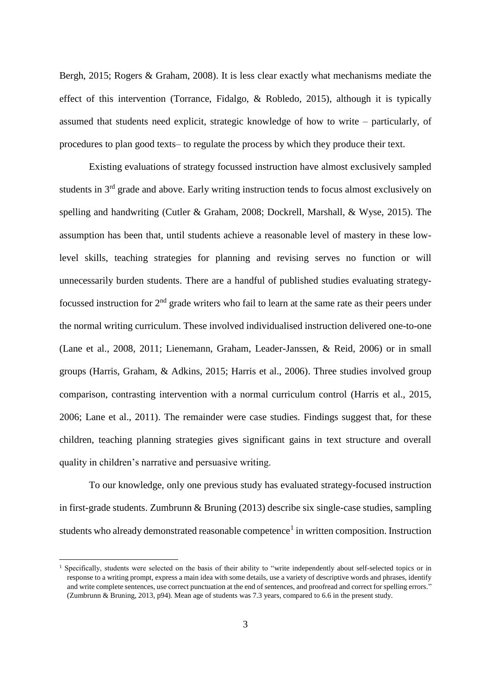Bergh, 2015; Rogers & Graham, 2008). It is less clear exactly what mechanisms mediate the effect of this intervention (Torrance, Fidalgo, & Robledo, 2015), although it is typically assumed that students need explicit, strategic knowledge of how to write – particularly, of procedures to plan good texts– to regulate the process by which they produce their text.

Existing evaluations of strategy focussed instruction have almost exclusively sampled students in 3rd grade and above. Early writing instruction tends to focus almost exclusively on spelling and handwriting (Cutler & Graham, 2008; Dockrell, Marshall, & Wyse, 2015). The assumption has been that, until students achieve a reasonable level of mastery in these lowlevel skills, teaching strategies for planning and revising serves no function or will unnecessarily burden students. There are a handful of published studies evaluating strategyfocussed instruction for  $2<sup>nd</sup>$  grade writers who fail to learn at the same rate as their peers under the normal writing curriculum. These involved individualised instruction delivered one-to-one (Lane et al., 2008, 2011; Lienemann, Graham, Leader-Janssen, & Reid, 2006) or in small groups (Harris, Graham, & Adkins, 2015; Harris et al., 2006). Three studies involved group comparison, contrasting intervention with a normal curriculum control (Harris et al., 2015, 2006; Lane et al., 2011). The remainder were case studies. Findings suggest that, for these children, teaching planning strategies gives significant gains in text structure and overall quality in children's narrative and persuasive writing.

To our knowledge, only one previous study has evaluated strategy-focused instruction in first-grade students. Zumbrunn & Bruning (2013) describe six single-case studies, sampling students who already demonstrated reasonable competence<sup>1</sup> in written composition. Instruction

-

<sup>&</sup>lt;sup>1</sup> Specifically, students were selected on the basis of their ability to "write independently about self-selected topics or in response to a writing prompt, express a main idea with some details, use a variety of descriptive words and phrases, identify and write complete sentences, use correct punctuation at the end of sentences, and proofread and correct for spelling errors." (Zumbrunn & Bruning, 2013, p94). Mean age of students was 7.3 years, compared to 6.6 in the present study.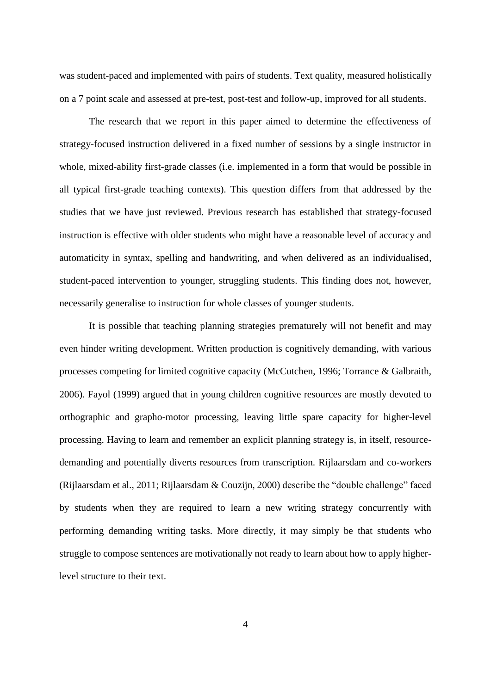was student-paced and implemented with pairs of students. Text quality, measured holistically on a 7 point scale and assessed at pre-test, post-test and follow-up, improved for all students.

The research that we report in this paper aimed to determine the effectiveness of strategy-focused instruction delivered in a fixed number of sessions by a single instructor in whole, mixed-ability first-grade classes (i.e. implemented in a form that would be possible in all typical first-grade teaching contexts). This question differs from that addressed by the studies that we have just reviewed. Previous research has established that strategy-focused instruction is effective with older students who might have a reasonable level of accuracy and automaticity in syntax, spelling and handwriting, and when delivered as an individualised, student-paced intervention to younger, struggling students. This finding does not, however, necessarily generalise to instruction for whole classes of younger students.

It is possible that teaching planning strategies prematurely will not benefit and may even hinder writing development. Written production is cognitively demanding, with various processes competing for limited cognitive capacity (McCutchen, 1996; Torrance & Galbraith, 2006). Fayol (1999) argued that in young children cognitive resources are mostly devoted to orthographic and grapho-motor processing, leaving little spare capacity for higher-level processing. Having to learn and remember an explicit planning strategy is, in itself, resourcedemanding and potentially diverts resources from transcription. Rijlaarsdam and co-workers (Rijlaarsdam et al., 2011; Rijlaarsdam & Couzijn, 2000) describe the "double challenge" faced by students when they are required to learn a new writing strategy concurrently with performing demanding writing tasks. More directly, it may simply be that students who struggle to compose sentences are motivationally not ready to learn about how to apply higherlevel structure to their text.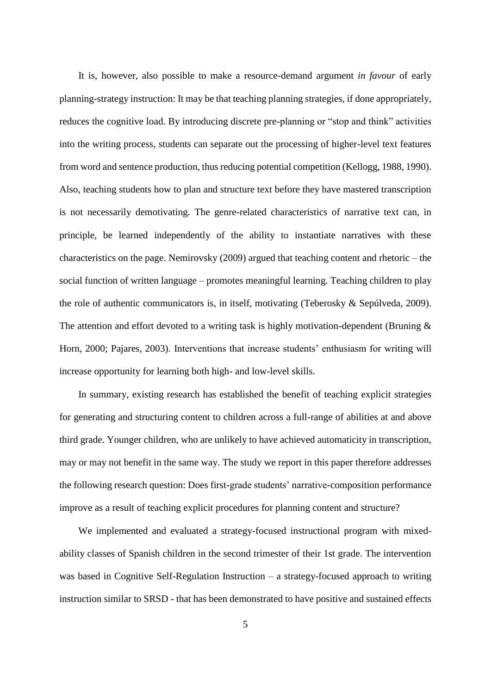It is, however, also possible to make a resource-demand argument *in favour* of early planning-strategy instruction: It may be that teaching planning strategies, if done appropriately, reduces the cognitive load. By introducing discrete pre-planning or "stop and think" activities into the writing process, students can separate out the processing of higher-level text features from word and sentence production, thus reducing potential competition (Kellogg, 1988, 1990). Also, teaching students how to plan and structure text before they have mastered transcription is not necessarily demotivating. The genre-related characteristics of narrative text can, in principle, be learned independently of the ability to instantiate narratives with these characteristics on the page. Nemirovsky (2009) argued that teaching content and rhetoric – the social function of written language – promotes meaningful learning. Teaching children to play the role of authentic communicators is, in itself, motivating (Teberosky & Sepúlveda, 2009). The attention and effort devoted to a writing task is highly motivation-dependent (Bruning  $\&$ Horn, 2000; Pajares, 2003). Interventions that increase students' enthusiasm for writing will increase opportunity for learning both high- and low-level skills.

In summary, existing research has established the benefit of teaching explicit strategies for generating and structuring content to children across a full-range of abilities at and above third grade. Younger children, who are unlikely to have achieved automaticity in transcription, may or may not benefit in the same way. The study we report in this paper therefore addresses the following research question: Does first-grade students' narrative-composition performance improve as a result of teaching explicit procedures for planning content and structure?

We implemented and evaluated a strategy-focused instructional program with mixedability classes of Spanish children in the second trimester of their 1st grade. The intervention was based in Cognitive Self-Regulation Instruction – a strategy-focused approach to writing instruction similar to SRSD - that has been demonstrated to have positive and sustained effects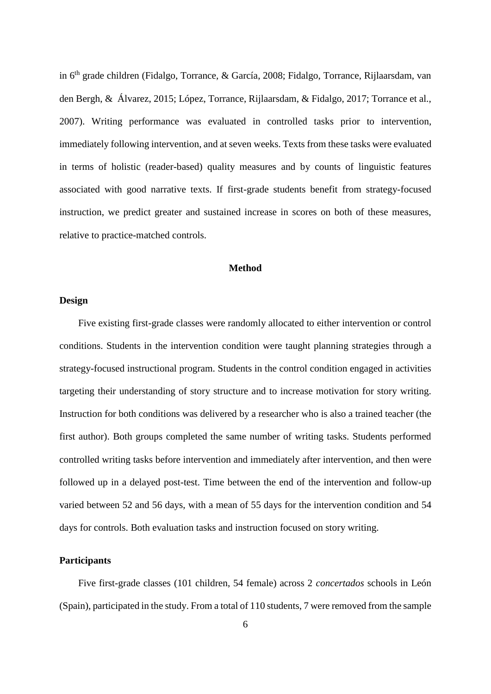in 6 th grade children (Fidalgo, Torrance, & García, 2008; Fidalgo, Torrance, Rijlaarsdam, van den Bergh, & Álvarez, 2015; López, Torrance, Rijlaarsdam, & Fidalgo, 2017; Torrance et al., 2007). Writing performance was evaluated in controlled tasks prior to intervention, immediately following intervention, and at seven weeks. Texts from these tasks were evaluated in terms of holistic (reader-based) quality measures and by counts of linguistic features associated with good narrative texts. If first-grade students benefit from strategy-focused instruction, we predict greater and sustained increase in scores on both of these measures, relative to practice-matched controls.

#### **Method**

#### **Design**

Five existing first-grade classes were randomly allocated to either intervention or control conditions. Students in the intervention condition were taught planning strategies through a strategy-focused instructional program. Students in the control condition engaged in activities targeting their understanding of story structure and to increase motivation for story writing. Instruction for both conditions was delivered by a researcher who is also a trained teacher (the first author). Both groups completed the same number of writing tasks. Students performed controlled writing tasks before intervention and immediately after intervention, and then were followed up in a delayed post-test. Time between the end of the intervention and follow-up varied between 52 and 56 days, with a mean of 55 days for the intervention condition and 54 days for controls. Both evaluation tasks and instruction focused on story writing.

#### **Participants**

Five first-grade classes (101 children, 54 female) across 2 *concertados* schools in León (Spain), participated in the study. From a total of 110 students, 7 were removed from the sample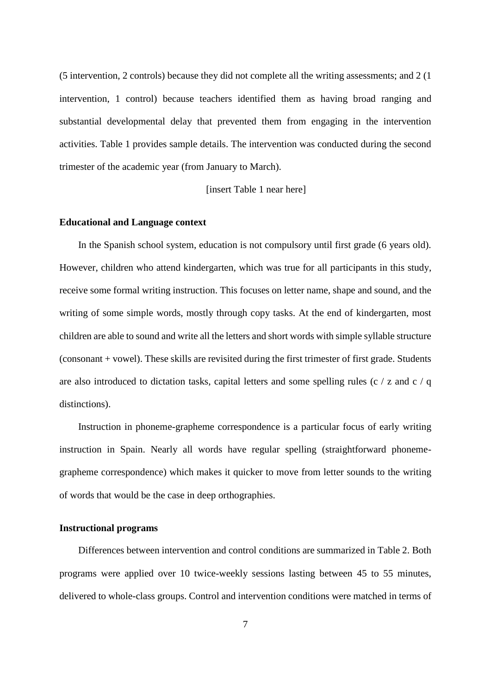(5 intervention, 2 controls) because they did not complete all the writing assessments; and 2 (1 intervention, 1 control) because teachers identified them as having broad ranging and substantial developmental delay that prevented them from engaging in the intervention activities. Table 1 provides sample details. The intervention was conducted during the second trimester of the academic year (from January to March).

[insert Table 1 near here]

#### **Educational and Language context**

In the Spanish school system, education is not compulsory until first grade (6 years old). However, children who attend kindergarten, which was true for all participants in this study, receive some formal writing instruction. This focuses on letter name, shape and sound, and the writing of some simple words, mostly through copy tasks. At the end of kindergarten, most children are able to sound and write all the letters and short words with simple syllable structure (consonant + vowel). These skills are revisited during the first trimester of first grade. Students are also introduced to dictation tasks, capital letters and some spelling rules (c / z and c / q distinctions).

Instruction in phoneme-grapheme correspondence is a particular focus of early writing instruction in Spain. Nearly all words have regular spelling (straightforward phonemegrapheme correspondence) which makes it quicker to move from letter sounds to the writing of words that would be the case in deep orthographies.

#### **Instructional programs**

Differences between intervention and control conditions are summarized in Table 2. Both programs were applied over 10 twice-weekly sessions lasting between 45 to 55 minutes, delivered to whole-class groups. Control and intervention conditions were matched in terms of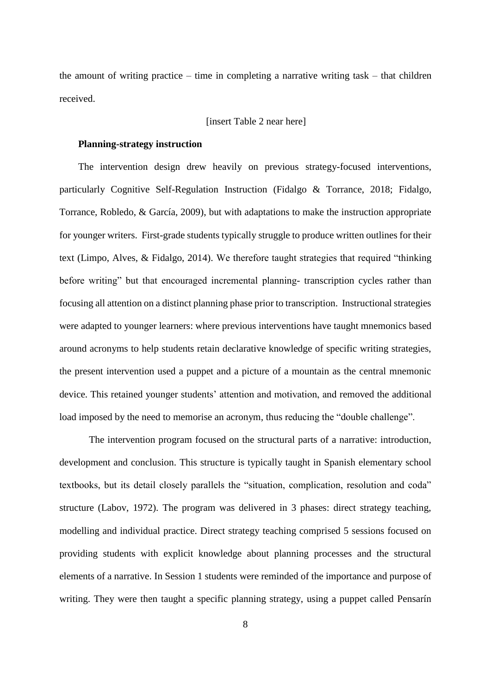the amount of writing practice – time in completing a narrative writing task – that children received.

#### [insert Table 2 near here]

#### **Planning-strategy instruction**

The intervention design drew heavily on previous strategy-focused interventions, particularly Cognitive Self-Regulation Instruction (Fidalgo & Torrance, 2018; Fidalgo, Torrance, Robledo, & García, 2009), but with adaptations to make the instruction appropriate for younger writers. First-grade students typically struggle to produce written outlines for their text (Limpo, Alves, & Fidalgo, 2014). We therefore taught strategies that required "thinking before writing" but that encouraged incremental planning- transcription cycles rather than focusing all attention on a distinct planning phase prior to transcription. Instructional strategies were adapted to younger learners: where previous interventions have taught mnemonics based around acronyms to help students retain declarative knowledge of specific writing strategies, the present intervention used a puppet and a picture of a mountain as the central mnemonic device. This retained younger students' attention and motivation, and removed the additional load imposed by the need to memorise an acronym, thus reducing the "double challenge".

The intervention program focused on the structural parts of a narrative: introduction, development and conclusion. This structure is typically taught in Spanish elementary school textbooks, but its detail closely parallels the "situation, complication, resolution and coda" structure (Labov, 1972). The program was delivered in 3 phases: direct strategy teaching, modelling and individual practice. Direct strategy teaching comprised 5 sessions focused on providing students with explicit knowledge about planning processes and the structural elements of a narrative. In Session 1 students were reminded of the importance and purpose of writing. They were then taught a specific planning strategy, using a puppet called Pensarín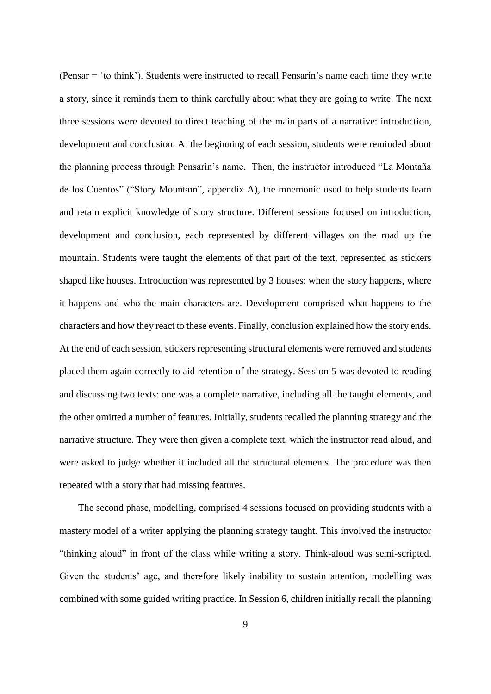(Pensar = 'to think'). Students were instructed to recall Pensarín's name each time they write a story, since it reminds them to think carefully about what they are going to write. The next three sessions were devoted to direct teaching of the main parts of a narrative: introduction, development and conclusion. At the beginning of each session, students were reminded about the planning process through Pensarín's name. Then, the instructor introduced "La Montaña de los Cuentos" ("Story Mountain", appendix A), the mnemonic used to help students learn and retain explicit knowledge of story structure. Different sessions focused on introduction, development and conclusion, each represented by different villages on the road up the mountain. Students were taught the elements of that part of the text, represented as stickers shaped like houses. Introduction was represented by 3 houses: when the story happens, where it happens and who the main characters are. Development comprised what happens to the characters and how they react to these events. Finally, conclusion explained how the story ends. At the end of each session, stickers representing structural elements were removed and students placed them again correctly to aid retention of the strategy. Session 5 was devoted to reading and discussing two texts: one was a complete narrative, including all the taught elements, and the other omitted a number of features. Initially, students recalled the planning strategy and the narrative structure. They were then given a complete text, which the instructor read aloud, and were asked to judge whether it included all the structural elements. The procedure was then repeated with a story that had missing features.

The second phase, modelling, comprised 4 sessions focused on providing students with a mastery model of a writer applying the planning strategy taught. This involved the instructor "thinking aloud" in front of the class while writing a story. Think-aloud was semi-scripted. Given the students' age, and therefore likely inability to sustain attention, modelling was combined with some guided writing practice. In Session 6, children initially recall the planning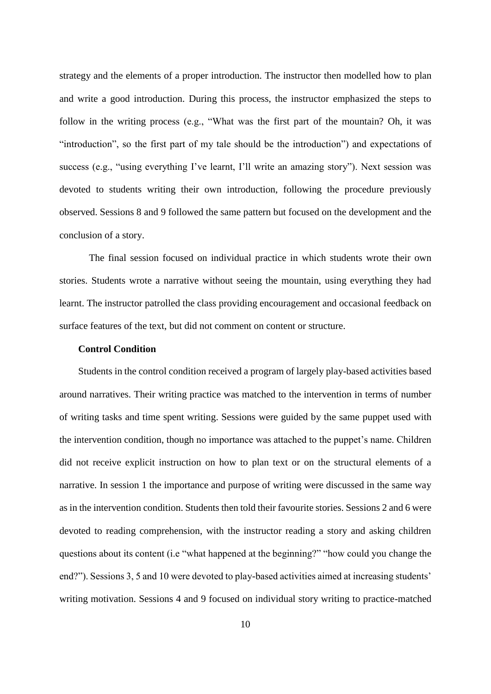strategy and the elements of a proper introduction. The instructor then modelled how to plan and write a good introduction. During this process, the instructor emphasized the steps to follow in the writing process (e.g., "What was the first part of the mountain? Oh, it was "introduction", so the first part of my tale should be the introduction") and expectations of success (e.g., "using everything I've learnt, I'll write an amazing story"). Next session was devoted to students writing their own introduction, following the procedure previously observed. Sessions 8 and 9 followed the same pattern but focused on the development and the conclusion of a story.

The final session focused on individual practice in which students wrote their own stories. Students wrote a narrative without seeing the mountain, using everything they had learnt. The instructor patrolled the class providing encouragement and occasional feedback on surface features of the text, but did not comment on content or structure.

#### **Control Condition**

Students in the control condition received a program of largely play-based activities based around narratives. Their writing practice was matched to the intervention in terms of number of writing tasks and time spent writing. Sessions were guided by the same puppet used with the intervention condition, though no importance was attached to the puppet's name. Children did not receive explicit instruction on how to plan text or on the structural elements of a narrative. In session 1 the importance and purpose of writing were discussed in the same way as in the intervention condition. Students then told their favourite stories. Sessions 2 and 6 were devoted to reading comprehension, with the instructor reading a story and asking children questions about its content (i.e "what happened at the beginning?" "how could you change the end?"). Sessions 3, 5 and 10 were devoted to play-based activities aimed at increasing students' writing motivation. Sessions 4 and 9 focused on individual story writing to practice-matched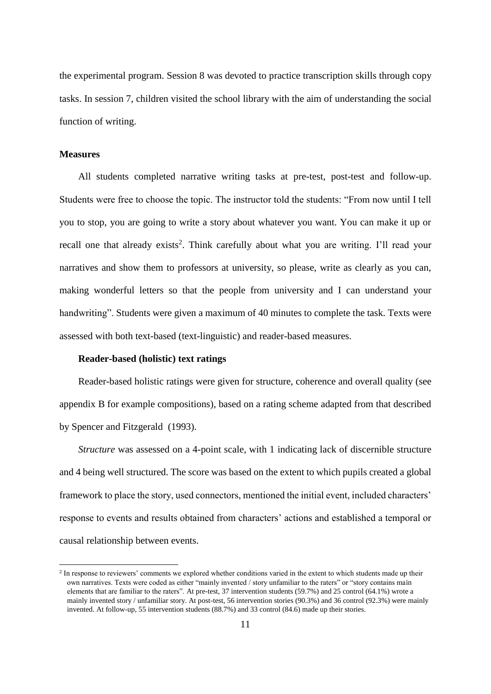the experimental program. Session 8 was devoted to practice transcription skills through copy tasks. In session 7, children visited the school library with the aim of understanding the social function of writing.

#### **Measures**

-

All students completed narrative writing tasks at pre-test, post-test and follow-up. Students were free to choose the topic. The instructor told the students: "From now until I tell you to stop, you are going to write a story about whatever you want. You can make it up or recall one that already exists<sup>2</sup>. Think carefully about what you are writing. I'll read your narratives and show them to professors at university, so please, write as clearly as you can, making wonderful letters so that the people from university and I can understand your handwriting". Students were given a maximum of 40 minutes to complete the task. Texts were assessed with both text-based (text-linguistic) and reader-based measures.

#### **Reader-based (holistic) text ratings**

Reader-based holistic ratings were given for structure, coherence and overall quality (see appendix B for example compositions), based on a rating scheme adapted from that described by Spencer and Fitzgerald (1993).

*Structure* was assessed on a 4-point scale, with 1 indicating lack of discernible structure and 4 being well structured. The score was based on the extent to which pupils created a global framework to place the story, used connectors, mentioned the initial event, included characters' response to events and results obtained from characters' actions and established a temporal or causal relationship between events.

<sup>&</sup>lt;sup>2</sup> In response to reviewers' comments we explored whether conditions varied in the extent to which students made up their own narratives. Texts were coded as either "mainly invented / story unfamiliar to the raters" or "story contains main elements that are familiar to the raters". At pre-test, 37 intervention students (59.7%) and 25 control (64.1%) wrote a mainly invented story / unfamiliar story. At post-test, 56 intervention stories (90.3%) and 36 control (92.3%) were mainly invented. At follow-up, 55 intervention students (88.7%) and 33 control (84.6) made up their stories.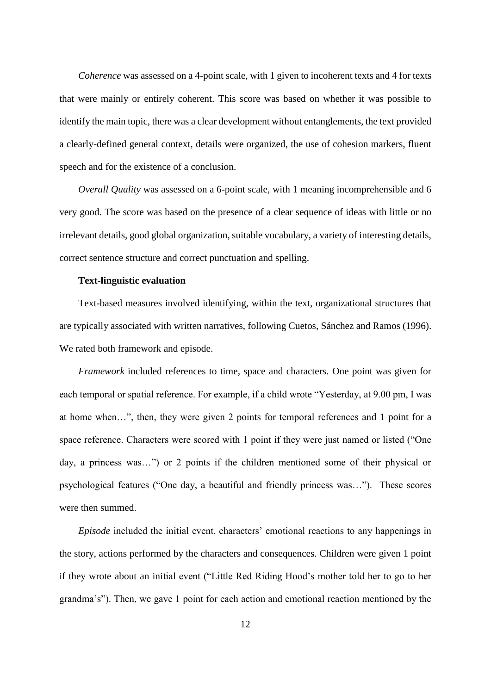*Coherence* was assessed on a 4-point scale, with 1 given to incoherent texts and 4 for texts that were mainly or entirely coherent. This score was based on whether it was possible to identify the main topic, there was a clear development without entanglements, the text provided a clearly-defined general context, details were organized, the use of cohesion markers, fluent speech and for the existence of a conclusion.

*Overall Quality* was assessed on a 6-point scale, with 1 meaning incomprehensible and 6 very good. The score was based on the presence of a clear sequence of ideas with little or no irrelevant details, good global organization, suitable vocabulary, a variety of interesting details, correct sentence structure and correct punctuation and spelling.

#### **Text-linguistic evaluation**

Text-based measures involved identifying, within the text, organizational structures that are typically associated with written narratives, following Cuetos, Sánchez and Ramos (1996). We rated both framework and episode.

*Framework* included references to time, space and characters. One point was given for each temporal or spatial reference. For example, if a child wrote "Yesterday, at 9.00 pm, I was at home when…", then, they were given 2 points for temporal references and 1 point for a space reference. Characters were scored with 1 point if they were just named or listed ("One day, a princess was…") or 2 points if the children mentioned some of their physical or psychological features ("One day, a beautiful and friendly princess was…"). These scores were then summed.

*Episode* included the initial event, characters' emotional reactions to any happenings in the story, actions performed by the characters and consequences. Children were given 1 point if they wrote about an initial event ("Little Red Riding Hood's mother told her to go to her grandma's"). Then, we gave 1 point for each action and emotional reaction mentioned by the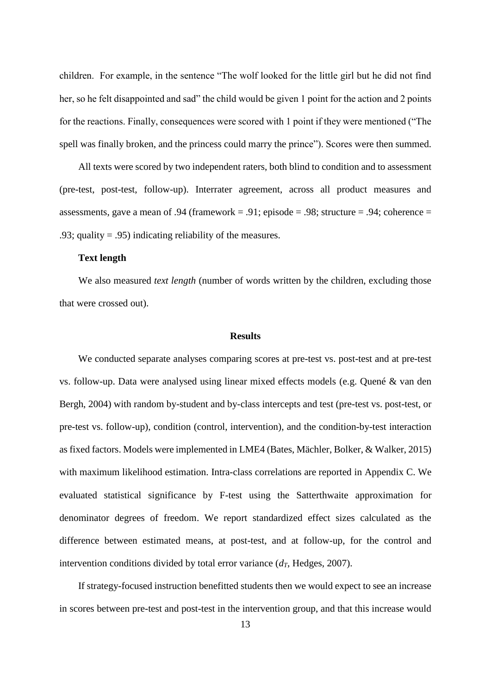children. For example, in the sentence "The wolf looked for the little girl but he did not find her, so he felt disappointed and sad" the child would be given 1 point for the action and 2 points for the reactions. Finally, consequences were scored with 1 point if they were mentioned ("The spell was finally broken, and the princess could marry the prince"). Scores were then summed.

All texts were scored by two independent raters, both blind to condition and to assessment (pre-test, post-test, follow-up). Interrater agreement, across all product measures and assessments, gave a mean of .94 (framework = .91; episode = .98; structure = .94; coherence = .93; quality = .95) indicating reliability of the measures.

#### **Text length**

We also measured *text length* (number of words written by the children, excluding those that were crossed out).

#### **Results**

We conducted separate analyses comparing scores at pre-test vs. post-test and at pre-test vs. follow-up. Data were analysed using linear mixed effects models (e.g. Quené & van den Bergh, 2004) with random by-student and by-class intercepts and test (pre-test vs. post-test, or pre-test vs. follow-up), condition (control, intervention), and the condition-by-test interaction as fixed factors. Models were implemented in LME4 (Bates, Mächler, Bolker, & Walker, 2015) with maximum likelihood estimation. Intra-class correlations are reported in Appendix C. We evaluated statistical significance by F-test using the Satterthwaite approximation for denominator degrees of freedom. We report standardized effect sizes calculated as the difference between estimated means, at post-test, and at follow-up, for the control and intervention conditions divided by total error variance  $(d<sub>T</sub>, H_{0})$ ,  $d<sub>T</sub>$ ,  $d<sub>T</sub>$ ,  $d<sub>T</sub>$ ,  $d<sub>T</sub>$ ,  $d<sub>T</sub>$ ,  $d<sub>T</sub>$ ,  $d<sub>T</sub>$ ,  $d<sub>T</sub>$ ,  $d<sub>T</sub>$ ,  $d<sub>T</sub>$ ,  $d<sub>T</sub>$ ,  $d<sub>T</sub>$ ,  $d<sub>T</sub>$ ,  $d<sub>T</sub>$ 

If strategy-focused instruction benefitted students then we would expect to see an increase in scores between pre-test and post-test in the intervention group, and that this increase would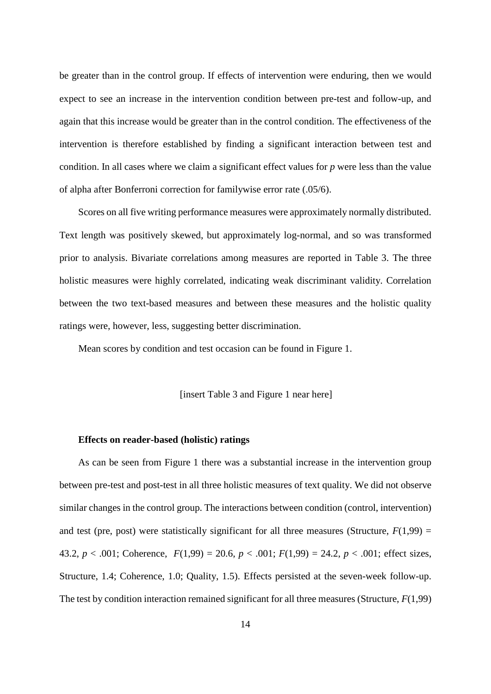be greater than in the control group. If effects of intervention were enduring, then we would expect to see an increase in the intervention condition between pre-test and follow-up, and again that this increase would be greater than in the control condition. The effectiveness of the intervention is therefore established by finding a significant interaction between test and condition. In all cases where we claim a significant effect values for *p* were less than the value of alpha after Bonferroni correction for familywise error rate (.05/6).

Scores on all five writing performance measures were approximately normally distributed. Text length was positively skewed, but approximately log-normal, and so was transformed prior to analysis. Bivariate correlations among measures are reported in Table 3. The three holistic measures were highly correlated, indicating weak discriminant validity. Correlation between the two text-based measures and between these measures and the holistic quality ratings were, however, less, suggesting better discrimination.

Mean scores by condition and test occasion can be found in Figure 1.

[insert Table 3 and Figure 1 near here]

#### **Effects on reader-based (holistic) ratings**

As can be seen from Figure 1 there was a substantial increase in the intervention group between pre-test and post-test in all three holistic measures of text quality. We did not observe similar changes in the control group. The interactions between condition (control, intervention) and test (pre, post) were statistically significant for all three measures (Structure,  $F(1,99) =$ 43.2,  $p < .001$ ; Coherence,  $F(1,99) = 20.6$ ,  $p < .001$ ;  $F(1,99) = 24.2$ ,  $p < .001$ ; effect sizes, Structure, 1.4; Coherence, 1.0; Quality, 1.5). Effects persisted at the seven-week follow-up. The test by condition interaction remained significant for all three measures (Structure, *F*(1,99)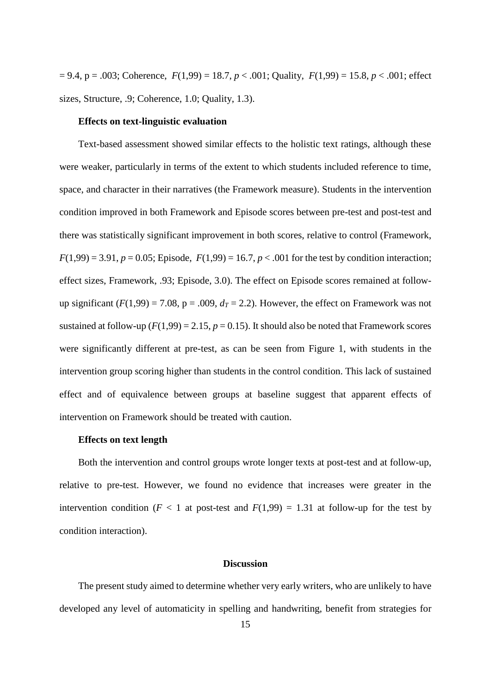= 9.4, p = .003; Coherence, *F*(1,99) = 18.7, *p* < .001; Quality, *F*(1,99) = 15.8, *p* < .001; effect sizes, Structure, .9; Coherence, 1.0; Quality, 1.3).

#### **Effects on text-linguistic evaluation**

Text-based assessment showed similar effects to the holistic text ratings, although these were weaker, particularly in terms of the extent to which students included reference to time, space, and character in their narratives (the Framework measure). Students in the intervention condition improved in both Framework and Episode scores between pre-test and post-test and there was statistically significant improvement in both scores, relative to control (Framework,  $F(1,99) = 3.91, p = 0.05$ ; Episode,  $F(1,99) = 16.7, p < .001$  for the test by condition interaction; effect sizes, Framework, .93; Episode, 3.0). The effect on Episode scores remained at followup significant  $(F(1,99) = 7.08, p = .009, d<sub>T</sub> = 2.2)$ . However, the effect on Framework was not sustained at follow-up  $(F(1,99) = 2.15, p = 0.15)$ . It should also be noted that Framework scores were significantly different at pre-test, as can be seen from Figure 1, with students in the intervention group scoring higher than students in the control condition. This lack of sustained effect and of equivalence between groups at baseline suggest that apparent effects of intervention on Framework should be treated with caution.

#### **Effects on text length**

Both the intervention and control groups wrote longer texts at post-test and at follow-up, relative to pre-test. However, we found no evidence that increases were greater in the intervention condition ( $F < 1$  at post-test and  $F(1,99) = 1.31$  at follow-up for the test by condition interaction).

#### **Discussion**

The present study aimed to determine whether very early writers, who are unlikely to have developed any level of automaticity in spelling and handwriting, benefit from strategies for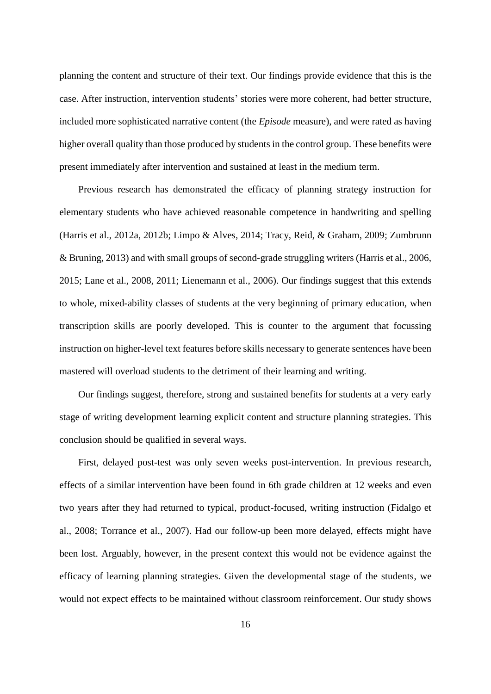planning the content and structure of their text. Our findings provide evidence that this is the case. After instruction, intervention students' stories were more coherent, had better structure, included more sophisticated narrative content (the *Episode* measure), and were rated as having higher overall quality than those produced by students in the control group. These benefits were present immediately after intervention and sustained at least in the medium term.

Previous research has demonstrated the efficacy of planning strategy instruction for elementary students who have achieved reasonable competence in handwriting and spelling (Harris et al., 2012a, 2012b; Limpo & Alves, 2014; Tracy, Reid, & Graham, 2009; Zumbrunn & Bruning, 2013) and with small groups of second-grade struggling writers (Harris et al., 2006, 2015; Lane et al., 2008, 2011; Lienemann et al., 2006). Our findings suggest that this extends to whole, mixed-ability classes of students at the very beginning of primary education, when transcription skills are poorly developed. This is counter to the argument that focussing instruction on higher-level text features before skills necessary to generate sentences have been mastered will overload students to the detriment of their learning and writing.

Our findings suggest, therefore, strong and sustained benefits for students at a very early stage of writing development learning explicit content and structure planning strategies. This conclusion should be qualified in several ways.

First, delayed post-test was only seven weeks post-intervention. In previous research, effects of a similar intervention have been found in 6th grade children at 12 weeks and even two years after they had returned to typical, product-focused, writing instruction (Fidalgo et al., 2008; Torrance et al., 2007). Had our follow-up been more delayed, effects might have been lost. Arguably, however, in the present context this would not be evidence against the efficacy of learning planning strategies. Given the developmental stage of the students, we would not expect effects to be maintained without classroom reinforcement. Our study shows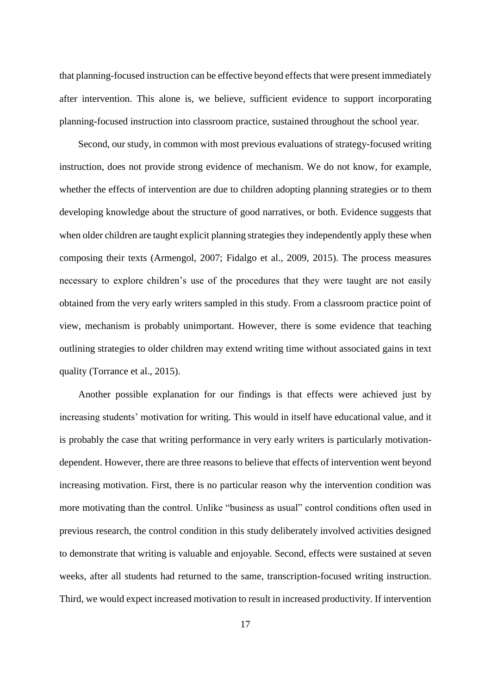that planning-focused instruction can be effective beyond effects that were present immediately after intervention. This alone is, we believe, sufficient evidence to support incorporating planning-focused instruction into classroom practice, sustained throughout the school year.

Second, our study, in common with most previous evaluations of strategy-focused writing instruction, does not provide strong evidence of mechanism. We do not know, for example, whether the effects of intervention are due to children adopting planning strategies or to them developing knowledge about the structure of good narratives, or both. Evidence suggests that when older children are taught explicit planning strategies they independently apply these when composing their texts (Armengol, 2007; Fidalgo et al., 2009, 2015). The process measures necessary to explore children's use of the procedures that they were taught are not easily obtained from the very early writers sampled in this study. From a classroom practice point of view, mechanism is probably unimportant. However, there is some evidence that teaching outlining strategies to older children may extend writing time without associated gains in text quality (Torrance et al., 2015).

Another possible explanation for our findings is that effects were achieved just by increasing students' motivation for writing. This would in itself have educational value, and it is probably the case that writing performance in very early writers is particularly motivationdependent. However, there are three reasons to believe that effects of intervention went beyond increasing motivation. First, there is no particular reason why the intervention condition was more motivating than the control. Unlike "business as usual" control conditions often used in previous research, the control condition in this study deliberately involved activities designed to demonstrate that writing is valuable and enjoyable. Second, effects were sustained at seven weeks, after all students had returned to the same, transcription-focused writing instruction. Third, we would expect increased motivation to result in increased productivity. If intervention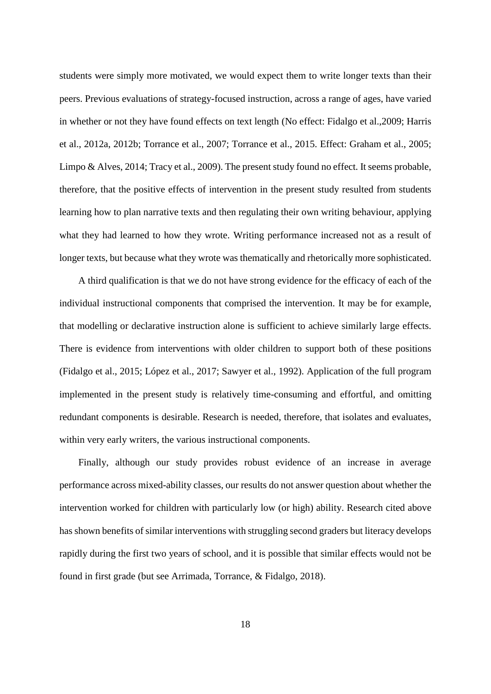students were simply more motivated, we would expect them to write longer texts than their peers. Previous evaluations of strategy-focused instruction, across a range of ages, have varied in whether or not they have found effects on text length (No effect: Fidalgo et al.,2009; Harris et al., 2012a, 2012b; Torrance et al., 2007; Torrance et al., 2015. Effect: Graham et al., 2005; Limpo & Alves, 2014; Tracy et al., 2009). The present study found no effect. It seems probable, therefore, that the positive effects of intervention in the present study resulted from students learning how to plan narrative texts and then regulating their own writing behaviour, applying what they had learned to how they wrote. Writing performance increased not as a result of longer texts, but because what they wrote was thematically and rhetorically more sophisticated.

A third qualification is that we do not have strong evidence for the efficacy of each of the individual instructional components that comprised the intervention. It may be for example, that modelling or declarative instruction alone is sufficient to achieve similarly large effects. There is evidence from interventions with older children to support both of these positions (Fidalgo et al., 2015; López et al., 2017; Sawyer et al., 1992). Application of the full program implemented in the present study is relatively time-consuming and effortful, and omitting redundant components is desirable. Research is needed, therefore, that isolates and evaluates, within very early writers, the various instructional components.

Finally, although our study provides robust evidence of an increase in average performance across mixed-ability classes, our results do not answer question about whether the intervention worked for children with particularly low (or high) ability. Research cited above has shown benefits of similar interventions with struggling second graders but literacy develops rapidly during the first two years of school, and it is possible that similar effects would not be found in first grade (but see Arrimada, Torrance, & Fidalgo, 2018).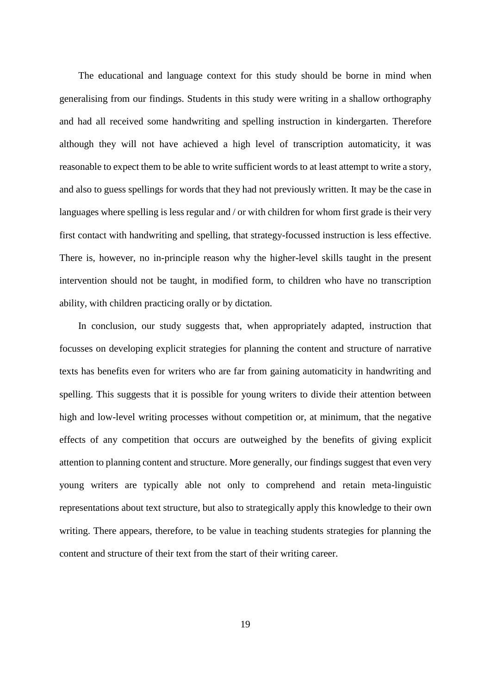The educational and language context for this study should be borne in mind when generalising from our findings. Students in this study were writing in a shallow orthography and had all received some handwriting and spelling instruction in kindergarten. Therefore although they will not have achieved a high level of transcription automaticity, it was reasonable to expect them to be able to write sufficient words to at least attempt to write a story, and also to guess spellings for words that they had not previously written. It may be the case in languages where spelling is less regular and / or with children for whom first grade is their very first contact with handwriting and spelling, that strategy-focussed instruction is less effective. There is, however, no in-principle reason why the higher-level skills taught in the present intervention should not be taught, in modified form, to children who have no transcription ability, with children practicing orally or by dictation.

In conclusion, our study suggests that, when appropriately adapted, instruction that focusses on developing explicit strategies for planning the content and structure of narrative texts has benefits even for writers who are far from gaining automaticity in handwriting and spelling. This suggests that it is possible for young writers to divide their attention between high and low-level writing processes without competition or, at minimum, that the negative effects of any competition that occurs are outweighed by the benefits of giving explicit attention to planning content and structure. More generally, our findings suggest that even very young writers are typically able not only to comprehend and retain meta-linguistic representations about text structure, but also to strategically apply this knowledge to their own writing. There appears, therefore, to be value in teaching students strategies for planning the content and structure of their text from the start of their writing career.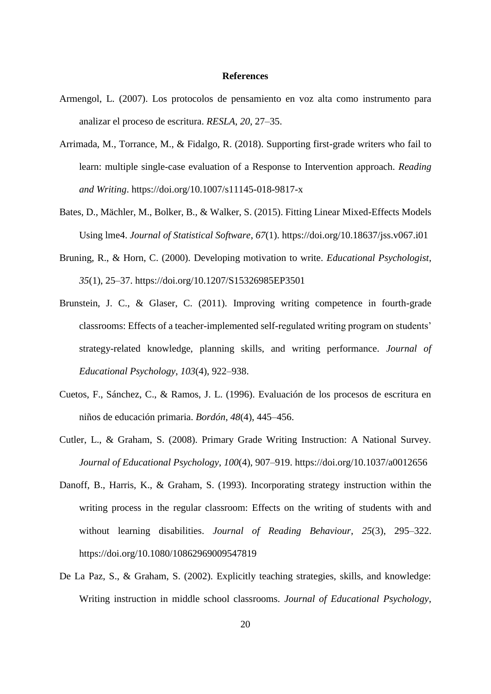#### **References**

- Armengol, L. (2007). Los protocolos de pensamiento en voz alta como instrumento para analizar el proceso de escritura. *RESLA*, *20*, 27–35.
- Arrimada, M., Torrance, M., & Fidalgo, R. (2018). Supporting first-grade writers who fail to learn: multiple single-case evaluation of a Response to Intervention approach. *Reading and Writing*. https://doi.org/10.1007/s11145-018-9817-x
- Bates, D., Mächler, M., Bolker, B., & Walker, S. (2015). Fitting Linear Mixed-Effects Models Using lme4. *Journal of Statistical Software*, *67*(1). https://doi.org/10.18637/jss.v067.i01
- Bruning, R., & Horn, C. (2000). Developing motivation to write. *Educational Psychologist*, *35*(1), 25–37. https://doi.org/10.1207/S15326985EP3501
- Brunstein, J. C., & Glaser, C. (2011). Improving writing competence in fourth-grade classrooms: Effects of a teacher-implemented self-regulated writing program on students' strategy-related knowledge, planning skills, and writing performance. *Journal of Educational Psychology*, *103*(4), 922–938.
- Cuetos, F., Sánchez, C., & Ramos, J. L. (1996). Evaluación de los procesos de escritura en niños de educación primaria. *Bordón*, *48*(4), 445–456.
- Cutler, L., & Graham, S. (2008). Primary Grade Writing Instruction: A National Survey. *Journal of Educational Psychology*, *100*(4), 907–919. https://doi.org/10.1037/a0012656
- Danoff, B., Harris, K., & Graham, S. (1993). Incorporating strategy instruction within the writing process in the regular classroom: Effects on the writing of students with and without learning disabilities. *Journal of Reading Behaviour*, *25*(3), 295–322. https://doi.org/10.1080/10862969009547819
- De La Paz, S., & Graham, S. (2002). Explicitly teaching strategies, skills, and knowledge: Writing instruction in middle school classrooms. *Journal of Educational Psychology*,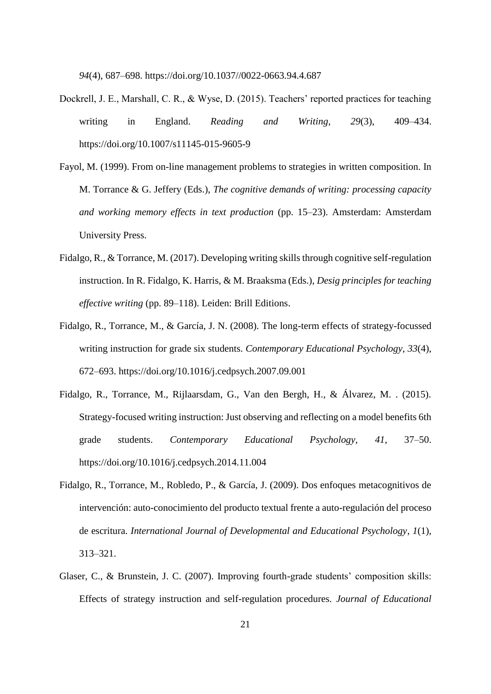*94*(4), 687–698. https://doi.org/10.1037//0022-0663.94.4.687

- Dockrell, J. E., Marshall, C. R., & Wyse, D. (2015). Teachers' reported practices for teaching writing in England. *Reading and Writing*, *29*(3), 409–434. https://doi.org/10.1007/s11145-015-9605-9
- Fayol, M. (1999). From on-line management problems to strategies in written composition. In M. Torrance & G. Jeffery (Eds.), *The cognitive demands of writing: processing capacity and working memory effects in text production* (pp. 15–23). Amsterdam: Amsterdam University Press.
- Fidalgo, R., & Torrance, M. (2017). Developing writing skills through cognitive self-regulation instruction. In R. Fidalgo, K. Harris, & M. Braaksma (Eds.), *Desig principles for teaching effective writing* (pp. 89–118). Leiden: Brill Editions.
- Fidalgo, R., Torrance, M., & García, J. N. (2008). The long-term effects of strategy-focussed writing instruction for grade six students. *Contemporary Educational Psychology*, *33*(4), 672–693. https://doi.org/10.1016/j.cedpsych.2007.09.001
- Fidalgo, R., Torrance, M., Rijlaarsdam, G., Van den Bergh, H., & Álvarez, M. . (2015). Strategy-focused writing instruction: Just observing and reflecting on a model benefits 6th grade students. *Contemporary Educational Psychology*, *41*, 37–50. https://doi.org/10.1016/j.cedpsych.2014.11.004
- Fidalgo, R., Torrance, M., Robledo, P., & García, J. (2009). Dos enfoques metacognitivos de intervención: auto-conocimiento del producto textual frente a auto-regulación del proceso de escritura. *International Journal of Developmental and Educational Psychology*, *1*(1), 313–321.
- Glaser, C., & Brunstein, J. C. (2007). Improving fourth-grade students' composition skills: Effects of strategy instruction and self-regulation procedures. *Journal of Educational*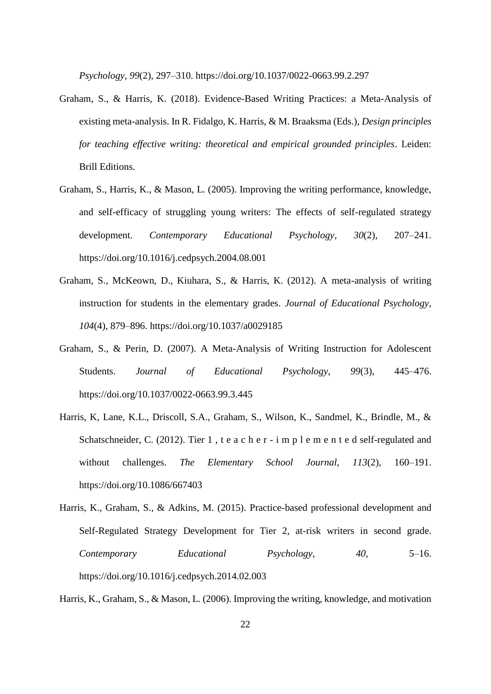*Psychology*, *99*(2), 297–310. https://doi.org/10.1037/0022-0663.99.2.297

- Graham, S., & Harris, K. (2018). Evidence-Based Writing Practices: a Meta-Analysis of existing meta-analysis. In R. Fidalgo, K. Harris, & M. Braaksma (Eds.), *Design principles for teaching effective writing: theoretical and empirical grounded principles*. Leiden: Brill Editions.
- Graham, S., Harris, K., & Mason, L. (2005). Improving the writing performance, knowledge, and self-efficacy of struggling young writers: The effects of self-regulated strategy development. *Contemporary Educational Psychology*, *30*(2), 207–241. https://doi.org/10.1016/j.cedpsych.2004.08.001
- Graham, S., McKeown, D., Kiuhara, S., & Harris, K. (2012). A meta-analysis of writing instruction for students in the elementary grades. *Journal of Educational Psychology*, *104*(4), 879–896. https://doi.org/10.1037/a0029185
- Graham, S., & Perin, D. (2007). A Meta-Analysis of Writing Instruction for Adolescent Students. *Journal of Educational Psychology*, *99*(3), 445–476. https://doi.org/10.1037/0022-0663.99.3.445
- Harris, K, Lane, K.L., Driscoll, S.A., Graham, S., Wilson, K., Sandmel, K., Brindle, M., & Schatschneider, C. (2012). Tier 1, t e a c h e r - i m p l e m e n t e d self-regulated and without challenges. *The Elementary School Journal*, *113*(2), 160–191. https://doi.org/10.1086/667403
- Harris, K., Graham, S., & Adkins, M. (2015). Practice-based professional development and Self-Regulated Strategy Development for Tier 2, at-risk writers in second grade. *Contemporary Educational Psychology*, *40*, 5–16. https://doi.org/10.1016/j.cedpsych.2014.02.003

Harris, K., Graham, S., & Mason, L. (2006). Improving the writing, knowledge, and motivation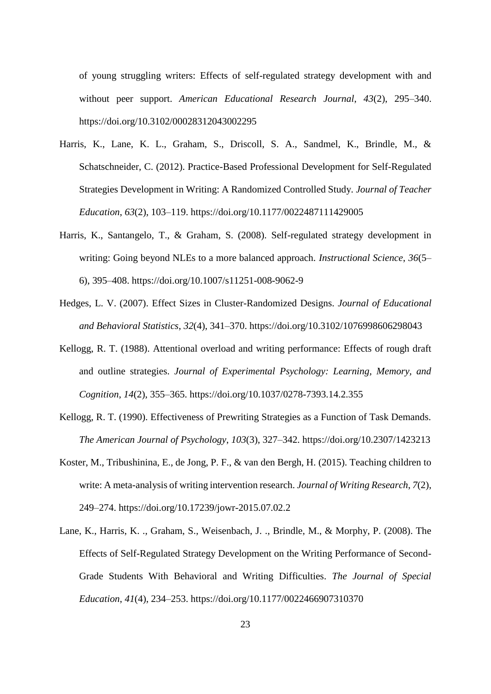of young struggling writers: Effects of self-regulated strategy development with and without peer support. *American Educational Research Journal*, *43*(2), 295–340. https://doi.org/10.3102/00028312043002295

- Harris, K., Lane, K. L., Graham, S., Driscoll, S. A., Sandmel, K., Brindle, M., & Schatschneider, C. (2012). Practice-Based Professional Development for Self-Regulated Strategies Development in Writing: A Randomized Controlled Study. *Journal of Teacher Education*, *63*(2), 103–119. https://doi.org/10.1177/0022487111429005
- Harris, K., Santangelo, T., & Graham, S. (2008). Self-regulated strategy development in writing: Going beyond NLEs to a more balanced approach. *Instructional Science*, *36*(5– 6), 395–408. https://doi.org/10.1007/s11251-008-9062-9
- Hedges, L. V. (2007). Effect Sizes in Cluster-Randomized Designs. *Journal of Educational and Behavioral Statistics*, *32*(4), 341–370. https://doi.org/10.3102/1076998606298043
- Kellogg, R. T. (1988). Attentional overload and writing performance: Effects of rough draft and outline strategies. *Journal of Experimental Psychology: Learning, Memory, and Cognition*, *14*(2), 355–365. https://doi.org/10.1037/0278-7393.14.2.355
- Kellogg, R. T. (1990). Effectiveness of Prewriting Strategies as a Function of Task Demands. *The American Journal of Psychology*, *103*(3), 327–342. https://doi.org/10.2307/1423213
- Koster, M., Tribushinina, E., de Jong, P. F., & van den Bergh, H. (2015). Teaching children to write: A meta-analysis of writing intervention research. *Journal of Writing Research*, *7*(2), 249–274. https://doi.org/10.17239/jowr-2015.07.02.2
- Lane, K., Harris, K. ., Graham, S., Weisenbach, J. ., Brindle, M., & Morphy, P. (2008). The Effects of Self-Regulated Strategy Development on the Writing Performance of Second-Grade Students With Behavioral and Writing Difficulties. *The Journal of Special Education*, *41*(4), 234–253. https://doi.org/10.1177/0022466907310370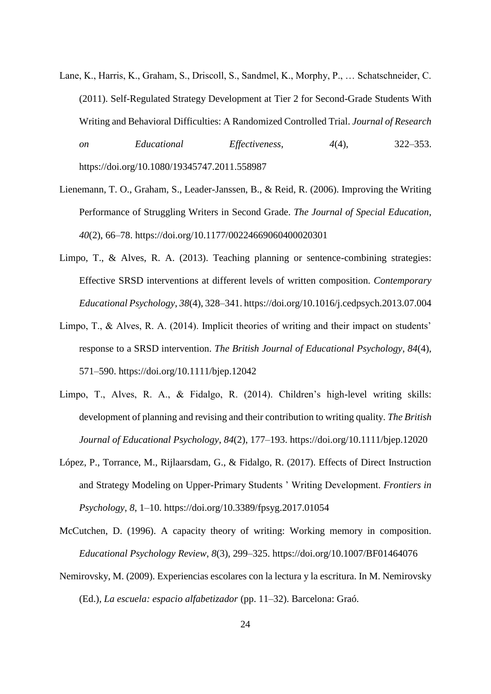- Lane, K., Harris, K., Graham, S., Driscoll, S., Sandmel, K., Morphy, P., … Schatschneider, C. (2011). Self-Regulated Strategy Development at Tier 2 for Second-Grade Students With Writing and Behavioral Difficulties: A Randomized Controlled Trial. *Journal of Research on Educational Effectiveness*, *4*(4), 322–353. https://doi.org/10.1080/19345747.2011.558987
- Lienemann, T. O., Graham, S., Leader-Janssen, B., & Reid, R. (2006). Improving the Writing Performance of Struggling Writers in Second Grade. *The Journal of Special Education*, *40*(2), 66–78. https://doi.org/10.1177/00224669060400020301
- Limpo, T., & Alves, R. A. (2013). Teaching planning or sentence-combining strategies: Effective SRSD interventions at different levels of written composition. *Contemporary Educational Psychology*, *38*(4), 328–341. https://doi.org/10.1016/j.cedpsych.2013.07.004
- Limpo, T., & Alves, R. A. (2014). Implicit theories of writing and their impact on students' response to a SRSD intervention. *The British Journal of Educational Psychology*, *84*(4), 571–590. https://doi.org/10.1111/bjep.12042
- Limpo, T., Alves, R. A., & Fidalgo, R. (2014). Children's high-level writing skills: development of planning and revising and their contribution to writing quality. *The British Journal of Educational Psychology*, *84*(2), 177–193. https://doi.org/10.1111/bjep.12020
- López, P., Torrance, M., Rijlaarsdam, G., & Fidalgo, R. (2017). Effects of Direct Instruction and Strategy Modeling on Upper-Primary Students ' Writing Development. *Frontiers in Psychology*, *8*, 1–10. https://doi.org/10.3389/fpsyg.2017.01054
- McCutchen, D. (1996). A capacity theory of writing: Working memory in composition. *Educational Psychology Review*, *8*(3), 299–325. https://doi.org/10.1007/BF01464076
- Nemirovsky, M. (2009). Experiencias escolares con la lectura y la escritura. In M. Nemirovsky (Ed.), *La escuela: espacio alfabetizador* (pp. 11–32). Barcelona: Graó.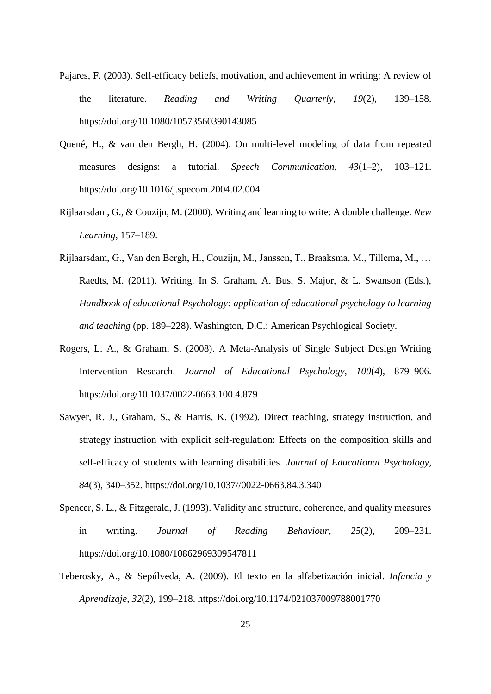- Pajares, F. (2003). Self-efficacy beliefs, motivation, and achievement in writing: A review of the literature. *Reading and Writing Quarterly*, *19*(2), 139–158. https://doi.org/10.1080/10573560390143085
- Quené, H., & van den Bergh, H. (2004). On multi-level modeling of data from repeated measures designs: a tutorial. *Speech Communication*, *43*(1–2), 103–121. https://doi.org/10.1016/j.specom.2004.02.004
- Rijlaarsdam, G., & Couzijn, M. (2000). Writing and learning to write: A double challenge. *New Learning*, 157–189.
- Rijlaarsdam, G., Van den Bergh, H., Couzijn, M., Janssen, T., Braaksma, M., Tillema, M., … Raedts, M. (2011). Writing. In S. Graham, A. Bus, S. Major, & L. Swanson (Eds.), *Handbook of educational Psychology: application of educational psychology to learning and teaching* (pp. 189–228). Washington, D.C.: American Psychlogical Society.
- Rogers, L. A., & Graham, S. (2008). A Meta-Analysis of Single Subject Design Writing Intervention Research. *Journal of Educational Psychology*, *100*(4), 879–906. https://doi.org/10.1037/0022-0663.100.4.879
- Sawyer, R. J., Graham, S., & Harris, K. (1992). Direct teaching, strategy instruction, and strategy instruction with explicit self-regulation: Effects on the composition skills and self-efficacy of students with learning disabilities. *Journal of Educational Psychology*, *84*(3), 340–352. https://doi.org/10.1037//0022-0663.84.3.340
- Spencer, S. L., & Fitzgerald, J. (1993). Validity and structure, coherence, and quality measures in writing. *Journal of Reading Behaviour*, *25*(2), 209–231. https://doi.org/10.1080/10862969309547811
- Teberosky, A., & Sepúlveda, A. (2009). El texto en la alfabetización inicial. *Infancia y Aprendizaje*, *32*(2), 199–218. https://doi.org/10.1174/021037009788001770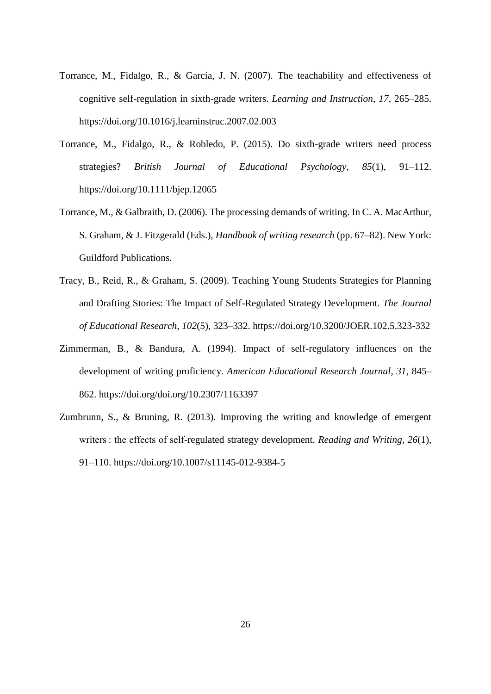- Torrance, M., Fidalgo, R., & García, J. N. (2007). The teachability and effectiveness of cognitive self-regulation in sixth-grade writers. *Learning and Instruction*, *17*, 265–285. https://doi.org/10.1016/j.learninstruc.2007.02.003
- Torrance, M., Fidalgo, R., & Robledo, P. (2015). Do sixth-grade writers need process strategies? *British Journal of Educational Psychology*, *85*(1), 91–112. https://doi.org/10.1111/bjep.12065
- Torrance, M., & Galbraith, D. (2006). The processing demands of writing. In C. A. MacArthur, S. Graham, & J. Fitzgerald (Eds.), *Handbook of writing research* (pp. 67–82). New York: Guildford Publications.
- Tracy, B., Reid, R., & Graham, S. (2009). Teaching Young Students Strategies for Planning and Drafting Stories: The Impact of Self-Regulated Strategy Development. *The Journal of Educational Research*, *102*(5), 323–332. https://doi.org/10.3200/JOER.102.5.323-332
- Zimmerman, B., & Bandura, A. (1994). Impact of self-regulatory influences on the development of writing proficiency. *American Educational Research Journal*, *31*, 845– 862. https://doi.org/doi.org/10.2307/1163397
- Zumbrunn, S., & Bruning, R. (2013). Improving the writing and knowledge of emergent writers : the effects of self-regulated strategy development. *Reading and Writing*, *26*(1), 91–110. https://doi.org/10.1007/s11145-012-9384-5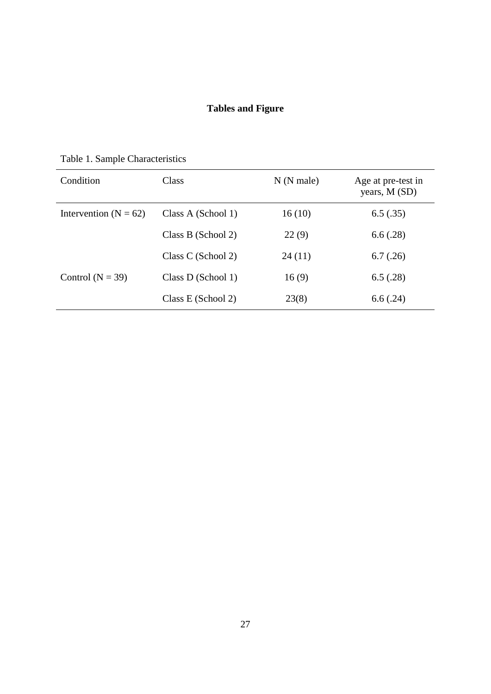## **Tables and Figure**

| Condition                 | Class              | $N(N$ male) | Age at pre-test in<br>years, M (SD) |
|---------------------------|--------------------|-------------|-------------------------------------|
| Intervention ( $N = 62$ ) | Class A (School 1) | 16(10)      | 6.5(.35)                            |
|                           | Class B (School 2) | 22(9)       | 6.6(.28)                            |
|                           | Class C (School 2) | 24(11)      | 6.7(.26)                            |
| Control ( $N = 39$ )      | Class D (School 1) | 16(9)       | 6.5(.28)                            |
|                           | Class E (School 2) | 23(8)       | 6.6(.24)                            |

Table 1. Sample Characteristics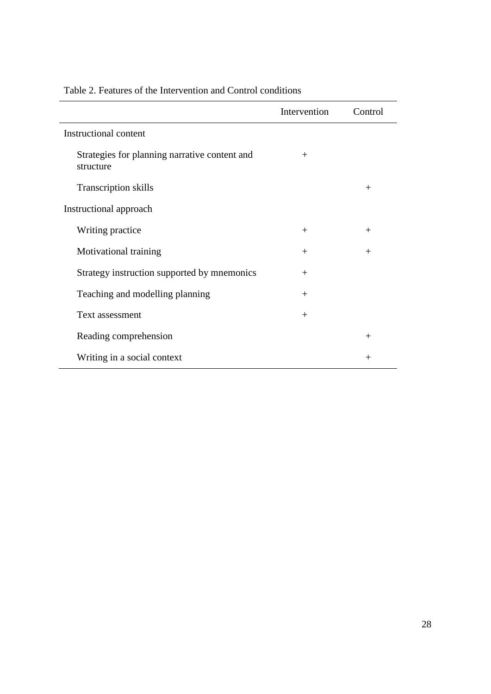|                                                            | Intervention | Control |
|------------------------------------------------------------|--------------|---------|
| Instructional content                                      |              |         |
| Strategies for planning narrative content and<br>structure | $^{+}$       |         |
| <b>Transcription skills</b>                                |              | $^{+}$  |
| Instructional approach                                     |              |         |
| Writing practice                                           | $+$          | $^{+}$  |
| Motivational training                                      | $+$          | $+$     |
| Strategy instruction supported by mnemonics                | $+$          |         |
| Teaching and modelling planning                            | $+$          |         |
| Text assessment                                            | $^{+}$       |         |
| Reading comprehension                                      |              | $^{+}$  |
| Writing in a social context                                |              | $^{+}$  |

## Table 2. Features of the Intervention and Control conditions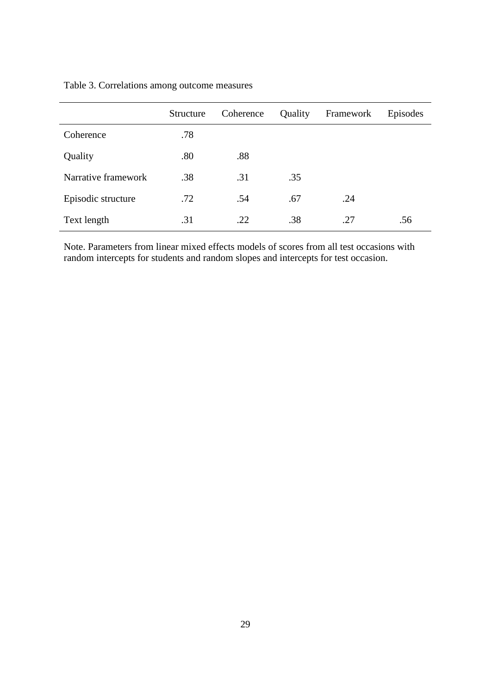|                     | Structure | Coherence | Quality | Framework | Episodes |
|---------------------|-----------|-----------|---------|-----------|----------|
| Coherence           | .78       |           |         |           |          |
| Quality             | .80       | .88       |         |           |          |
| Narrative framework | .38       | .31       | .35     |           |          |
| Episodic structure  | .72       | .54       | .67     | .24       |          |
| Text length         | .31       | .22       | .38     | .27       | .56      |

## Table 3. Correlations among outcome measures

Note. Parameters from linear mixed effects models of scores from all test occasions with random intercepts for students and random slopes and intercepts for test occasion.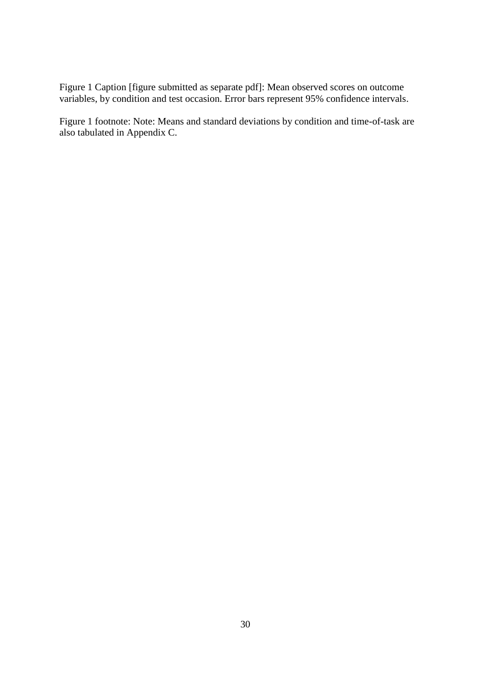Figure 1 Caption [figure submitted as separate pdf]: Mean observed scores on outcome variables, by condition and test occasion. Error bars represent 95% confidence intervals.

Figure 1 footnote: Note: Means and standard deviations by condition and time-of-task are also tabulated in Appendix C.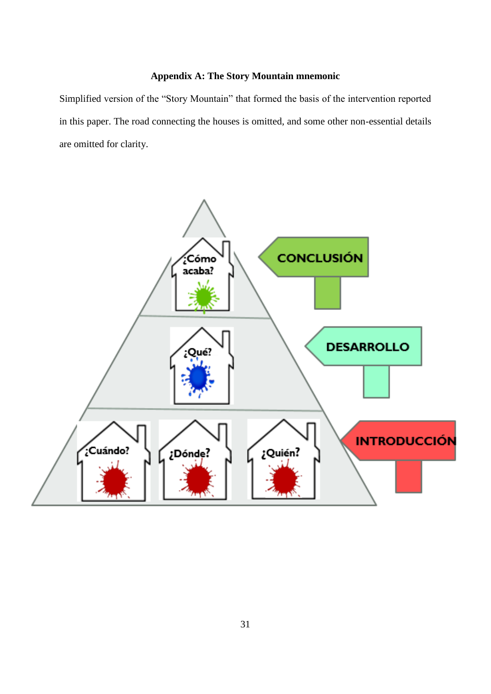## **Appendix A: The Story Mountain mnemonic**

Simplified version of the "Story Mountain" that formed the basis of the intervention reported in this paper. The road connecting the houses is omitted, and some other non-essential details are omitted for clarity.

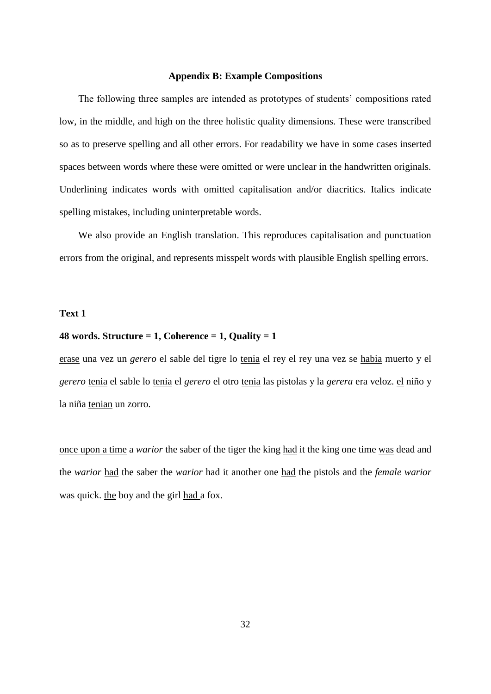#### **Appendix B: Example Compositions**

The following three samples are intended as prototypes of students' compositions rated low, in the middle, and high on the three holistic quality dimensions. These were transcribed so as to preserve spelling and all other errors. For readability we have in some cases inserted spaces between words where these were omitted or were unclear in the handwritten originals. Underlining indicates words with omitted capitalisation and/or diacritics. Italics indicate spelling mistakes, including uninterpretable words.

We also provide an English translation. This reproduces capitalisation and punctuation errors from the original, and represents misspelt words with plausible English spelling errors.

#### **Text 1**

#### **48 words. Structure = 1, Coherence = 1, Quality = 1**

erase una vez un *gerero* el sable del tigre lo tenia el rey el rey una vez se habia muerto y el *gerero* tenia el sable lo tenia el *gerero* el otro tenia las pistolas y la *gerera* era veloz. el niño y la niña tenian un zorro.

once upon a time a *warior* the saber of the tiger the king had it the king one time was dead and the *warior* had the saber the *warior* had it another one had the pistols and the *female warior*  was quick. the boy and the girl had a fox.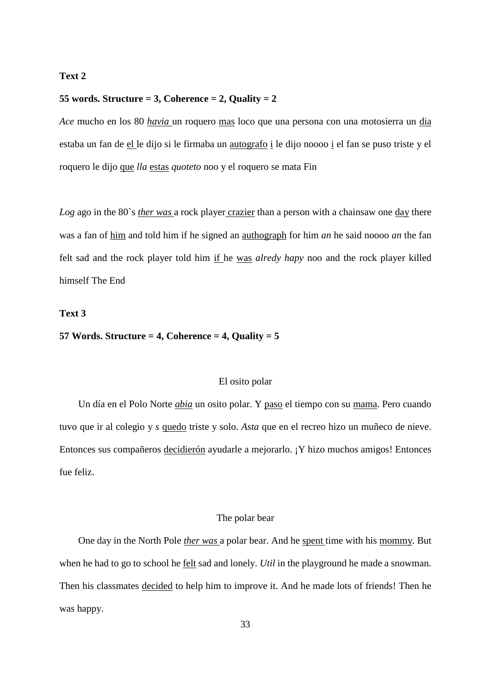#### **Text 2**

#### **55 words. Structure = 3, Coherence = 2, Quality = 2**

*Ace* mucho en los 80 *havia* un roquero mas loco que una persona con una motosierra un dia estaba un fan de el le dijo si le firmaba un autografo i le dijo noooo i el fan se puso triste y el roquero le dijo que *lla* estas *quoteto* noo y el roquero se mata Fin

*Log* ago in the 80`s *ther was* a rock player crazier than a person with a chainsaw one day there was a fan of him and told him if he signed an authograph for him *an* he said noooo *an* the fan felt sad and the rock player told him if he was *alredy hapy* noo and the rock player killed himself The End

#### **Text 3**

#### **57 Words. Structure = 4, Coherence = 4, Quality = 5**

#### El osito polar

Un día en el Polo Norte *abia* un osito polar. Y paso el tiempo con su mama. Pero cuando tuvo que ir al colegio y *s* quedo triste y solo. *Asta* que en el recreo hizo un muñeco de nieve. Entonces sus compañeros decidierón ayudarle a mejorarlo. ¡Y hizo muchos amigos! Entonces fue feliz.

#### The polar bear

One day in the North Pole *ther was* a polar bear. And he spent time with his mommy. But when he had to go to school he felt sad and lonely. *Util* in the playground he made a snowman. Then his classmates decided to help him to improve it. And he made lots of friends! Then he was happy.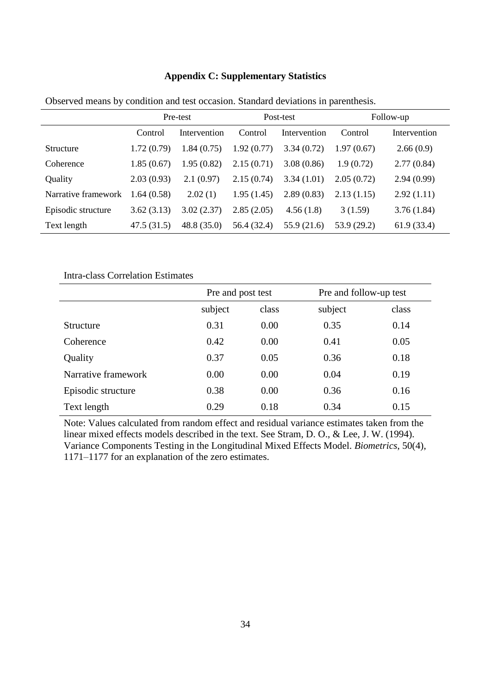|                     | Pre-test   |              | Post-test   |              | Follow-up   |              |
|---------------------|------------|--------------|-------------|--------------|-------------|--------------|
|                     | Control    | Intervention | Control     | Intervention | Control     | Intervention |
| <b>Structure</b>    | 1.72(0.79) | 1.84(0.75)   | 1.92(0.77)  | 3.34(0.72)   | 1.97(0.67)  | 2.66(0.9)    |
| Coherence           | 1.85(0.67) | 1.95(0.82)   | 2.15(0.71)  | 3.08(0.86)   | 1.9(0.72)   | 2.77(0.84)   |
| Quality             | 2.03(0.93) | 2.1(0.97)    | 2.15(0.74)  | 3.34(1.01)   | 2.05(0.72)  | 2.94(0.99)   |
| Narrative framework | 1.64(0.58) | 2.02(1)      | 1.95(1.45)  | 2.89(0.83)   | 2.13(1.15)  | 2.92(1.11)   |
| Episodic structure  | 3.62(3.13) | 3.02(2.37)   | 2.85(2.05)  | 4.56(1.8)    | 3(1.59)     | 3.76(1.84)   |
| Text length         | 47.5(31.5) | 48.8(35.0)   | 56.4 (32.4) | 55.9 (21.6)  | 53.9 (29.2) | 61.9(33.4)   |

### **Appendix C: Supplementary Statistics**

Observed means by condition and test occasion. Standard deviations in parenthesis.

Intra-class Correlation Estimates

|                     | Pre and post test |      | Pre and follow-up test |       |
|---------------------|-------------------|------|------------------------|-------|
|                     | subject<br>class  |      | subject                | class |
| Structure           | 0.31              | 0.00 | 0.35                   | 0.14  |
| Coherence           | 0.42              | 0.00 | 0.41                   | 0.05  |
| Quality             | 0.37              | 0.05 | 0.36                   | 0.18  |
| Narrative framework | 0.00              | 0.00 | 0.04                   | 0.19  |
| Episodic structure  | 0.38              | 0.00 | 0.36                   | 0.16  |
| Text length         | 0.29              | 0.18 | 0.34                   | 0.15  |

Note: Values calculated from random effect and residual variance estimates taken from the linear mixed effects models described in the text. See Stram, D. O., & Lee, J. W. (1994). Variance Components Testing in the Longitudinal Mixed Effects Model. *Biometrics*, 50(4), 1171–1177 for an explanation of the zero estimates.